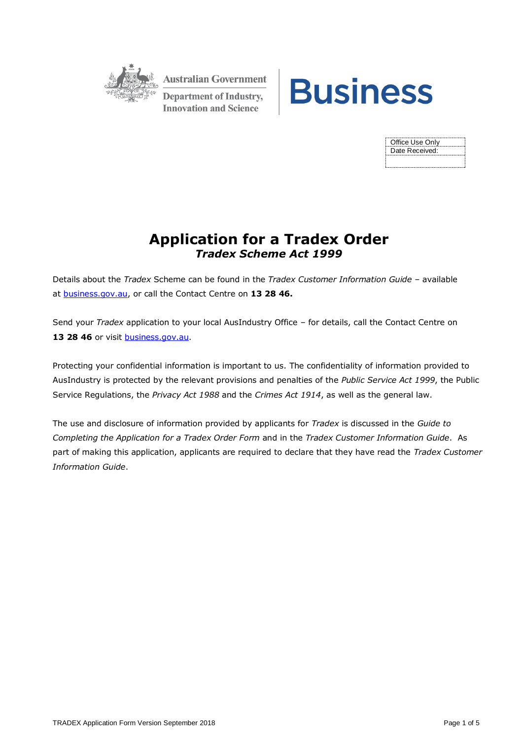

**Australian Government Department of Industry, Innovation and Science** 



| Office Use Only |
|-----------------|
| Date Received:  |
|                 |
|                 |

## **Application for a Tradex Order** *Tradex Scheme Act 1999*

Details about the *Tradex* Scheme can be found in the *Tradex Customer Information Guide* – available at [business.gov.au,](https://www.business.gov.au/assistance/tradex-scheme) or call the Contact Centre on **13 28 46.**

Send your *Tradex* application to your local AusIndustry Office – for details, call the Contact Centre on 13 28 46 or visit **business.gov.au**.

Protecting your confidential information is important to us. The confidentiality of information provided to AusIndustry is protected by the relevant provisions and penalties of the *Public Service Act 1999*, the Public Service Regulations, the *Privacy Act 1988* and the *Crimes Act 1914*, as well as the general law.

The use and disclosure of information provided by applicants for *Tradex* is discussed in the *Guide to Completing the Application for a Tradex Order Form* and in the *Tradex Customer Information Guide*. As part of making this application, applicants are required to declare that they have read the *Tradex Customer Information Guide*.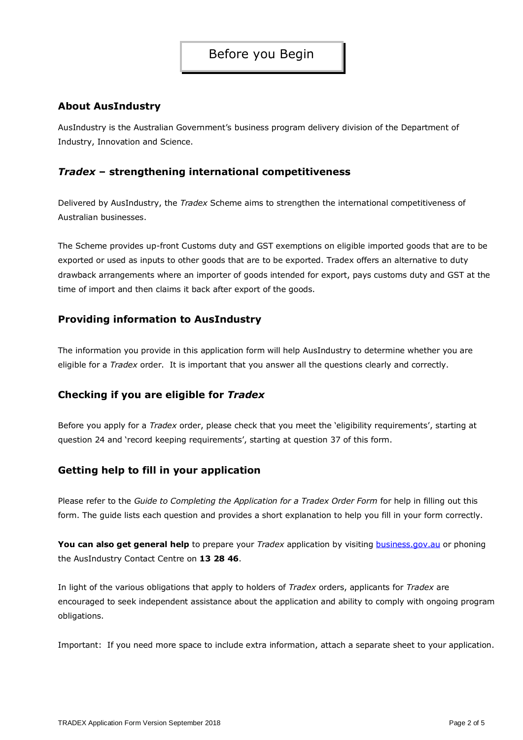### **About AusIndustry**

AusIndustry is the Australian Government's business program delivery division of the Department of Industry, Innovation and Science.

### *Tradex* **– strengthening international competitiveness**

Delivered by AusIndustry, the *Tradex* Scheme aims to strengthen the international competitiveness of Australian businesses.

The Scheme provides up-front Customs duty and GST exemptions on eligible imported goods that are to be exported or used as inputs to other goods that are to be exported. Tradex offers an alternative to duty drawback arrangements where an importer of goods intended for export, pays customs duty and GST at the time of import and then claims it back after export of the goods.

### **Providing information to AusIndustry**

The information you provide in this application form will help AusIndustry to determine whether you are eligible for a *Tradex* order. It is important that you answer all the questions clearly and correctly.

### **Checking if you are eligible for** *Tradex*

Before you apply for a *Tradex* order, please check that you meet the 'eligibility requirements', starting at question 24 and 'record keeping requirements', starting at question 37 of this form.

### **Getting help to fill in your application**

Please refer to the *Guide to Completing the Application for a Tradex Order Form* for help in filling out this form. The guide lists each question and provides a short explanation to help you fill in your form correctly.

**You can also get general help** to prepare your *Tradex* application by visiting **[business.gov.au](https://www.business.gov.au/assistance/tradex-scheme)** or phoning the AusIndustry Contact Centre on **13 28 46**.

In light of the various obligations that apply to holders of *Tradex* orders, applicants for *Tradex* are encouraged to seek independent assistance about the application and ability to comply with ongoing program obligations.

Important: If you need more space to include extra information, attach a separate sheet to your application.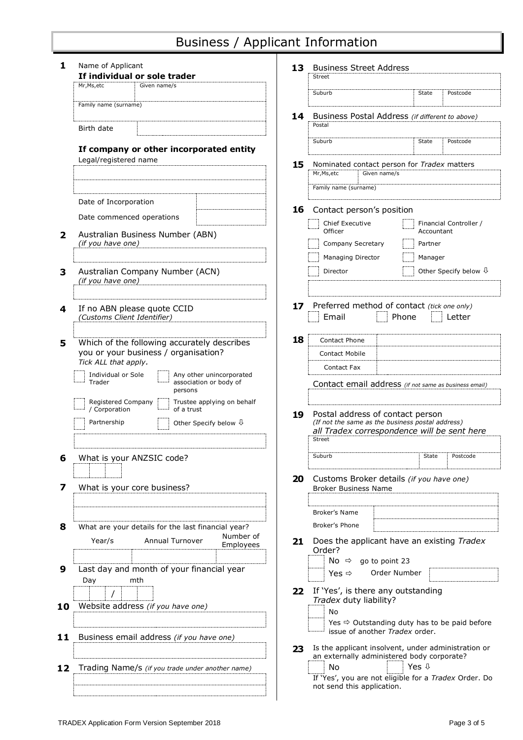# Business / Applicant Information

| 1            | Name of Applicant<br>If individual or sole trader                                                                            |                                                    |                          | 13. | <b>Business Street Address</b>                                                                                                      |                |                                  |  |  |
|--------------|------------------------------------------------------------------------------------------------------------------------------|----------------------------------------------------|--------------------------|-----|-------------------------------------------------------------------------------------------------------------------------------------|----------------|----------------------------------|--|--|
|              |                                                                                                                              |                                                    |                          |     | Street                                                                                                                              |                |                                  |  |  |
|              | Mr.Ms.etc                                                                                                                    | Given name/s                                       |                          |     | Suburb                                                                                                                              | State          | Postcode                         |  |  |
|              |                                                                                                                              | Family name (surname)                              |                          | 14  | Business Postal Address (if different to above)                                                                                     |                |                                  |  |  |
|              | Birth date                                                                                                                   |                                                    |                          |     | Postal                                                                                                                              |                |                                  |  |  |
|              |                                                                                                                              | If company or other incorporated entity            |                          |     | Suburb                                                                                                                              | State          | Postcode                         |  |  |
|              | Legal/registered name                                                                                                        |                                                    |                          | 15  | Nominated contact person for Tradex matters                                                                                         |                |                                  |  |  |
|              |                                                                                                                              |                                                    |                          |     | Mr, Ms, etc<br>Given name/s                                                                                                         |                |                                  |  |  |
|              |                                                                                                                              |                                                    |                          |     | Family name (surname)                                                                                                               |                |                                  |  |  |
|              | Date of Incorporation<br>Date commenced operations                                                                           |                                                    |                          |     | <b>16</b> Contact person's position                                                                                                 |                |                                  |  |  |
| $\mathbf{2}$ |                                                                                                                              | Australian Business Number (ABN)                   |                          |     | Chief Executive<br>Officer                                                                                                          | Accountant     | Financial Controller /           |  |  |
|              | (if you have one)                                                                                                            |                                                    |                          |     | Company Secretary                                                                                                                   | Partner        |                                  |  |  |
|              |                                                                                                                              |                                                    |                          |     | Managing Director                                                                                                                   | Manager        |                                  |  |  |
| 3            | Australian Company Number (ACN)<br>(if you have one)                                                                         |                                                    |                          |     | Director                                                                                                                            |                | Other Specify below $\Downarrow$ |  |  |
|              |                                                                                                                              |                                                    |                          |     |                                                                                                                                     |                |                                  |  |  |
| 4            | (Customs Client Identifier)                                                                                                  | If no ABN please quote CCID                        |                          | 17  | Preferred method of contact (tick one only)<br>Email<br>Phone                                                                       |                | Letter                           |  |  |
| 5            |                                                                                                                              |                                                    |                          | 18  | Contact Phone                                                                                                                       |                |                                  |  |  |
|              | Which of the following accurately describes<br>you or your business / organisation?                                          |                                                    |                          |     | <b>Contact Mobile</b>                                                                                                               |                |                                  |  |  |
|              | Tick ALL that apply.                                                                                                         |                                                    |                          |     | Contact Fax                                                                                                                         |                |                                  |  |  |
|              | Individual or Sole<br>Trader                                                                                                 | association or body of                             | Any other unincorporated |     | Contact email address (if not same as business email)                                                                               |                |                                  |  |  |
|              |                                                                                                                              | persons                                            |                          |     |                                                                                                                                     |                |                                  |  |  |
|              | Registered Company<br>Trustee applying on behalf<br>/ Corporation<br>of a trust<br>Partnership<br>Other Specify below $\psi$ |                                                    |                          | 19  | Postal address of contact person<br>(If not the same as the business postal address)<br>all Tradex correspondence will be sent here |                |                                  |  |  |
|              |                                                                                                                              |                                                    |                          |     | Street                                                                                                                              |                |                                  |  |  |
| 6            | What is your ANZSIC code?                                                                                                    |                                                    |                          |     | Suburb                                                                                                                              | State          | Postcode                         |  |  |
| 7            | What is your core business?                                                                                                  |                                                    |                          | 20  | Customs Broker details (if you have one)<br><b>Broker Business Name</b>                                                             |                |                                  |  |  |
|              |                                                                                                                              |                                                    |                          |     |                                                                                                                                     |                |                                  |  |  |
|              |                                                                                                                              |                                                    |                          |     | <b>Broker's Name</b>                                                                                                                |                |                                  |  |  |
| 8            |                                                                                                                              | What are your details for the last financial year? |                          |     | Broker's Phone                                                                                                                      |                |                                  |  |  |
|              | Year/s                                                                                                                       | Annual Turnover                                    | Number of<br>Employees   | 21  | Does the applicant have an existing Tradex<br>Order?                                                                                |                |                                  |  |  |
| 9            |                                                                                                                              | Last day and month of your financial year          |                          |     | go to point 23<br>No ⇔<br>Order Number<br>Yes $\Leftrightarrow$                                                                     |                |                                  |  |  |
|              | Day                                                                                                                          | mth                                                |                          | 22  | If 'Yes', is there any outstanding                                                                                                  |                |                                  |  |  |
| 10           |                                                                                                                              | Website address (if you have one)                  |                          |     | Tradex duty liability?                                                                                                              |                |                                  |  |  |
|              |                                                                                                                              |                                                    |                          |     | No                                                                                                                                  |                |                                  |  |  |
|              |                                                                                                                              |                                                    |                          |     | Yes <>> Outstanding duty has to be paid before<br>issue of another Tradex order.                                                    |                |                                  |  |  |
| 11           |                                                                                                                              | Business email address (if you have one)           |                          | 23  | Is the applicant insolvent, under administration or                                                                                 |                |                                  |  |  |
|              |                                                                                                                              |                                                    |                          |     | an externally administered body corporate?                                                                                          |                |                                  |  |  |
| 12           |                                                                                                                              | Trading Name/s (if you trade under another name)   |                          |     | No<br>If 'Yes', you are not eligible for a Tradex Order. Do<br>not send this application.                                           | Yes $\sqrt{ }$ |                                  |  |  |
|              |                                                                                                                              |                                                    |                          |     |                                                                                                                                     |                |                                  |  |  |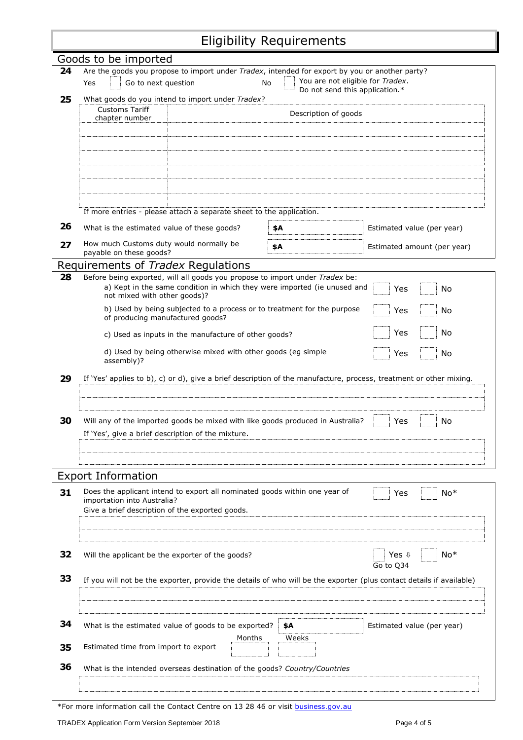# Eligibility Requirements

|    | Goods to be imported                                                                                                 |                                                                              |                                   |                             |  |  |  |  |  |
|----|----------------------------------------------------------------------------------------------------------------------|------------------------------------------------------------------------------|-----------------------------------|-----------------------------|--|--|--|--|--|
| 24 | Are the goods you propose to import under Tradex, intended for export by you or another party?                       |                                                                              |                                   |                             |  |  |  |  |  |
|    | You are not eligible for Tradex.<br>Go to next question<br>No<br>Yes                                                 |                                                                              |                                   |                             |  |  |  |  |  |
| 25 | Do not send this application.*<br>What goods do you intend to import under Tradex?                                   |                                                                              |                                   |                             |  |  |  |  |  |
|    | <b>Customs Tariff</b><br>Description of goods                                                                        |                                                                              |                                   |                             |  |  |  |  |  |
|    | chapter number                                                                                                       |                                                                              |                                   |                             |  |  |  |  |  |
|    |                                                                                                                      |                                                                              |                                   |                             |  |  |  |  |  |
|    |                                                                                                                      |                                                                              |                                   |                             |  |  |  |  |  |
|    |                                                                                                                      |                                                                              |                                   |                             |  |  |  |  |  |
|    |                                                                                                                      |                                                                              |                                   |                             |  |  |  |  |  |
|    |                                                                                                                      |                                                                              |                                   |                             |  |  |  |  |  |
|    |                                                                                                                      |                                                                              |                                   |                             |  |  |  |  |  |
|    |                                                                                                                      |                                                                              |                                   |                             |  |  |  |  |  |
|    |                                                                                                                      | If more entries - please attach a separate sheet to the application.         |                                   |                             |  |  |  |  |  |
| 26 | What is the estimated value of these goods?                                                                          |                                                                              | \$A<br>Estimated value (per year) |                             |  |  |  |  |  |
| 27 | How much Customs duty would normally be<br>payable on these goods?                                                   |                                                                              | \$A                               | Estimated amount (per year) |  |  |  |  |  |
|    | Requirements of Tradex Regulations                                                                                   |                                                                              |                                   |                             |  |  |  |  |  |
| 28 |                                                                                                                      | Before being exported, will all goods you propose to import under Tradex be: |                                   |                             |  |  |  |  |  |
|    | not mixed with other goods)?                                                                                         | a) Kept in the same condition in which they were imported (ie unused and     |                                   | Yes<br>No                   |  |  |  |  |  |
|    |                                                                                                                      | b) Used by being subjected to a process or to treatment for the purpose      |                                   | Yes<br>No                   |  |  |  |  |  |
|    | of producing manufactured goods?                                                                                     |                                                                              |                                   |                             |  |  |  |  |  |
|    |                                                                                                                      | c) Used as inputs in the manufacture of other goods?                         |                                   | No<br>Yes                   |  |  |  |  |  |
|    | assembly)?                                                                                                           | d) Used by being otherwise mixed with other goods (eg simple                 |                                   | Yes<br>No                   |  |  |  |  |  |
|    |                                                                                                                      |                                                                              |                                   |                             |  |  |  |  |  |
| 29 | If 'Yes' applies to b), c) or d), give a brief description of the manufacture, process, treatment or other mixing.   |                                                                              |                                   |                             |  |  |  |  |  |
|    |                                                                                                                      |                                                                              |                                   |                             |  |  |  |  |  |
|    |                                                                                                                      |                                                                              |                                   |                             |  |  |  |  |  |
| 30 | No<br>Will any of the imported goods be mixed with like goods produced in Australia?<br>Yes                          |                                                                              |                                   |                             |  |  |  |  |  |
|    | If 'Yes', give a brief description of the mixture.                                                                   |                                                                              |                                   |                             |  |  |  |  |  |
|    |                                                                                                                      |                                                                              |                                   |                             |  |  |  |  |  |
|    |                                                                                                                      |                                                                              |                                   |                             |  |  |  |  |  |
|    |                                                                                                                      |                                                                              |                                   |                             |  |  |  |  |  |
|    | <b>Export Information</b>                                                                                            |                                                                              |                                   |                             |  |  |  |  |  |
| 31 | importation into Australia?                                                                                          | Does the applicant intend to export all nominated goods within one year of   |                                   | $No*$<br>Yes                |  |  |  |  |  |
|    | Give a brief description of the exported goods.                                                                      |                                                                              |                                   |                             |  |  |  |  |  |
|    |                                                                                                                      |                                                                              |                                   |                             |  |  |  |  |  |
|    |                                                                                                                      |                                                                              |                                   |                             |  |  |  |  |  |
|    |                                                                                                                      |                                                                              |                                   |                             |  |  |  |  |  |
| 32 | Will the applicant be the exporter of the goods?                                                                     |                                                                              |                                   | Yes $\sqrt{ }$<br>$No*$     |  |  |  |  |  |
|    | Go to Q34                                                                                                            |                                                                              |                                   |                             |  |  |  |  |  |
| 33 | If you will not be the exporter, provide the details of who will be the exporter (plus contact details if available) |                                                                              |                                   |                             |  |  |  |  |  |
|    |                                                                                                                      |                                                                              |                                   |                             |  |  |  |  |  |
|    |                                                                                                                      |                                                                              |                                   |                             |  |  |  |  |  |
|    |                                                                                                                      |                                                                              |                                   |                             |  |  |  |  |  |
| 34 |                                                                                                                      | What is the estimated value of goods to be exported?                         | \$A                               | Estimated value (per year)  |  |  |  |  |  |
|    | Estimated time from import to export                                                                                 | Months                                                                       | Weeks                             |                             |  |  |  |  |  |
| 35 |                                                                                                                      |                                                                              |                                   |                             |  |  |  |  |  |
| 36 |                                                                                                                      | What is the intended overseas destination of the goods? Country/Countries    |                                   |                             |  |  |  |  |  |
|    |                                                                                                                      |                                                                              |                                   |                             |  |  |  |  |  |
|    |                                                                                                                      |                                                                              |                                   |                             |  |  |  |  |  |

\*For more information call the Contact Centre on 13 28 46 or visit [business.gov.au](https://www.business.gov.au/assistance/tradex-scheme)